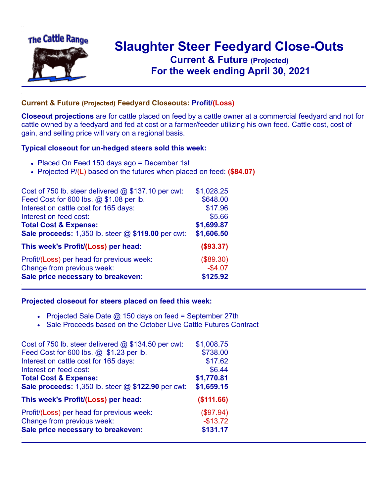

## **Slaughter Steer Feedyard Close-Outs Current & Future (Projected)** .**For the week ending April 30, 2021**

## **Current & Future (Projected) Feedyard Closeouts: Profit/(Loss)**

**Closeout projections** are for cattle placed on feed by a cattle owner at a commercial feedyard and not for cattle owned by a feedyard and fed at cost or a farmer/feeder utilizing his own feed. Cattle cost, cost of gain, and selling price will vary on a regional basis.

## **Typical closeout for un-hedged steers sold this week:**

- Placed On Feed 150 days ago = December 1st
- Projected P/(L) based on the futures when placed on feed: **(\$84.07)**

| Cost of 750 lb. steer delivered $@$ \$137.10 per cwt: | \$1,028.25 |
|-------------------------------------------------------|------------|
| Feed Cost for 600 lbs. @ \$1.08 per lb.               | \$648.00   |
| Interest on cattle cost for 165 days:                 | \$17.96    |
| Interest on feed cost:                                | \$5.66     |
| <b>Total Cost &amp; Expense:</b>                      | \$1,699.87 |
| Sale proceeds: 1,350 lb. steer @ \$119.00 per cwt:    | \$1,606.50 |
| This week's Profit/(Loss) per head:                   | (\$93.37)  |
| Profit/(Loss) per head for previous week:             | (\$89.30)  |
| Change from previous week:                            | $-$4.07$   |
| Sale price necessary to breakeven:                    | \$125.92   |

## **Projected closeout for steers placed on feed this week:**

- Projected Sale Date  $@$  150 days on feed = September 27th
- Sale Proceeds based on the October Live Cattle Futures Contract

| Cost of 750 lb. steer delivered $@$ \$134.50 per cwt: | \$1,008.75 |
|-------------------------------------------------------|------------|
| Feed Cost for 600 lbs. @ \$1.23 per lb.               | \$738.00   |
| Interest on cattle cost for 165 days:                 | \$17.62    |
| Interest on feed cost:                                | \$6.44     |
| <b>Total Cost &amp; Expense:</b>                      | \$1,770.81 |
| Sale proceeds: 1,350 lb. steer @ \$122.90 per cwt:    | \$1,659.15 |
| This week's Profit/(Loss) per head:                   | (\$111.66) |
| Profit/(Loss) per head for previous week:             | (\$97.94)  |
| Change from previous week:                            | $-$13.72$  |
| Sale price necessary to breakeven:                    | \$131.17   |